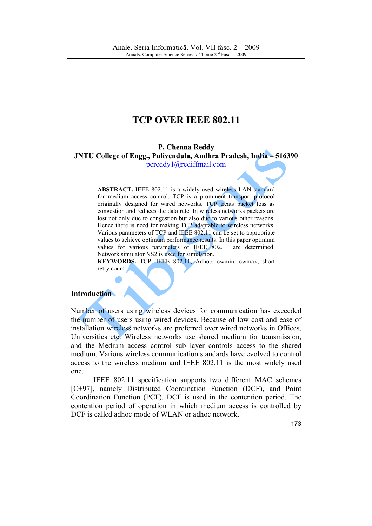# **TCP OVER IEEE 802.11**

#### P. Chenna Reddy JNTU College of Engg., Pulivendula, Andhra Pradesh, India - 516390 pcreddy1@rediffmail.com

**ABSTRACT.** IEEE 802.11 is a widely used wireless LAN standard for medium access control. TCP is a prominent transport protocol originally designed for wired networks. TCP treats packet loss as congestion and reduces the data rate. In wireless networks packets are lost not only due to congestion but also due to various other reasons. Hence there is need for making TCP adaptable to wireless networks. Various parameters of TCP and IEEE 802.11 can be set to appropriate values to achieve optimum performance results. In this paper optimum values for various parameters of IEEE 802.11 are determined. Network simulator NS2 is used for simulation.

KEYWORDS. TCP, IEEE 802.11, Adhoc, cwmin, cwmax, short retry count

#### **Introduction**

Number of users using wireless devices for communication has exceeded the number of users using wired devices. Because of low cost and ease of installation wireless networks are preferred over wired networks in Offices. Universities etc. Wireless networks use shared medium for transmission, and the Medium access control sub layer controls access to the shared medium. Various wireless communication standards have evolved to control access to the wireless medium and IEEE 802.11 is the most widely used one.

IEEE 802.11 specification supports two different MAC schemes [C+97], namely Distributed Coordination Function (DCF), and Point Coordination Function (PCF). DCF is used in the contention period. The contention period of operation in which medium access is controlled by DCF is called adhoc mode of WLAN or adhoc network.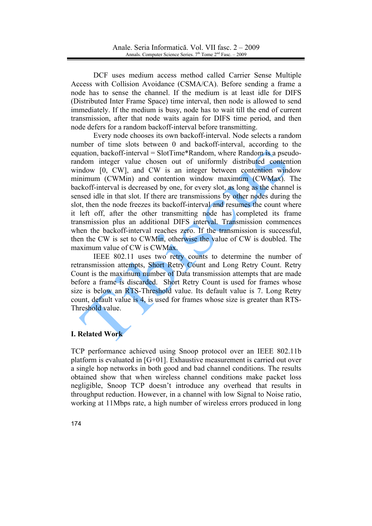DCF uses medium access method called Carrier Sense Multiple Access with Collision Avoidance (CSMA/CA). Before sending a frame a node has to sense the channel. If the medium is at least idle for DIFS (Distributed Inter Frame Space) time interval, then node is allowed to send immediately. If the medium is busy, node has to wait till the end of current transmission, after that node waits again for DIFS time period, and then node defers for a random backoff-interval before transmitting.

Every node chooses its own backoff-interval. Node selects a random number of time slots between 0 and backoff-interval, according to the equation, backoff-interval =  $SlotTime*Random$ , where Random is a pseudorandom integer value chosen out of uniformly distributed contention window [0, CW], and CW is an integer between contention window minimum (CWMin) and contention window maximum (CWMax). The backoff-interval is decreased by one, for every slot, as long as the channel is sensed idle in that slot. If there are transmissions by other nodes during the slot, then the node freezes its backoff-interval and resumes the count where it left off, after the other transmitting node has completed its frame transmission plus an additional DIFS interval. Transmission commences when the backoff-interval reaches zero. If the transmission is successful. then the CW is set to CWMin, otherwise the value of CW is doubled. The maximum value of CW is CWMax.

IEEE 802.11 uses two retry counts to determine the number of retransmission attempts, Short Retry Count and Long Retry Count. Retry Count is the maximum number of Data transmission attempts that are made before a frame is discarded. Short Retry Count is used for frames whose size is below an RTS-Threshold value. Its default value is 7. Long Retry count, default value is 4, is used for frames whose size is greater than RTS-Threshold value.

## **I. Related Work**

TCP performance achieved using Snoop protocol over an IEEE 802.11b platform is evaluated in [G+01]. Exhaustive measurement is carried out over a single hop networks in both good and bad channel conditions. The results obtained show that when wireless channel conditions make packet loss negligible, Snoop TCP doesn't introduce any overhead that results in throughput reduction. However, in a channel with low Signal to Noise ratio, working at 11Mbps rate, a high number of wireless errors produced in long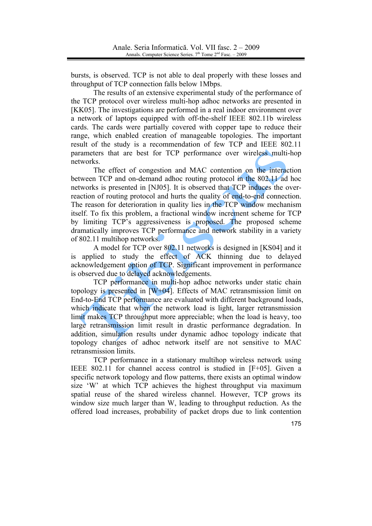bursts, is observed. TCP is not able to deal properly with these losses and throughput of TCP connection falls below 1Mbps.

The results of an extensive experimental study of the performance of the TCP protocol over wireless multi-hop adhoc networks are presented in [KK05]. The investigations are performed in a real indoor environment over a network of laptops equipped with off-the-shelf IEEE 802.11b wireless cards. The cards were partially covered with copper tape to reduce their range, which enabled creation of manageable topologies. The important result of the study is a recommendation of few TCP and IEEE 802.11 parameters that are best for TCP performance over wireless multi-hop networks.

The effect of congestion and MAC contention on the interaction between TCP and on-demand adhoc routing protocol in the 802.11 ad hoc networks is presented in [NJ05]. It is observed that TCP induces the overreaction of routing protocol and hurts the quality of end-to-end connection. The reason for deterioration in quality lies in the TCP window mechanism itself. To fix this problem, a fractional window increment scheme for TCP by limiting TCP's aggressiveness is proposed. The proposed scheme dramatically improves TCP performance and network stability in a variety of 802.11 multihop networks.

A model for TCP over 802.11 networks is designed in [KS04] and it is applied to study the effect of ACK thinning due to delayed acknowledgement option of TCP. Significant improvement in performance is observed due to delayed acknowledgements.

TCP performance in multi-hop adhoc networks under static chain topology is presented in  $\overline{[W+04]}$ . Effects of MAC retransmission limit on End-to-End TCP performance are evaluated with different background loads, which indicate that when the network load is light, larger retransmission limit makes TCP throughput more appreciable; when the load is heavy, too large retransmission limit result in drastic performance degradation. In addition, simulation results under dynamic adhoc topology indicate that topology changes of adhoc network itself are not sensitive to MAC retransmission limits.

TCP performance in a stationary multihop wireless network using IEEE 802.11 for channel access control is studied in [F+05]. Given a specific network topology and flow patterns, there exists an optimal window size 'W' at which TCP achieves the highest throughput via maximum spatial reuse of the shared wireless channel. However, TCP grows its window size much larger than W, leading to throughout reduction. As the offered load increases, probability of packet drops due to link contention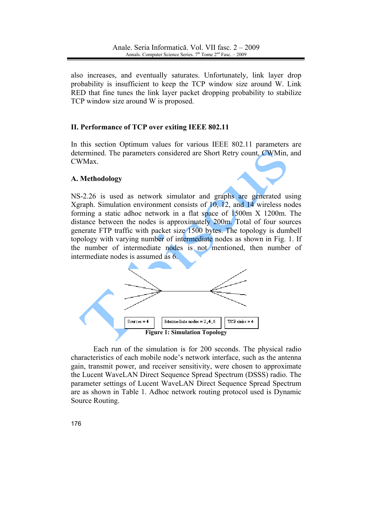also increases, and eventually saturates. Unfortunately, link layer drop probability is insufficient to keep the TCP window size around W. Link RED that fine tunes the link layer packet dropping probability to stabilize TCP window size around W is proposed.

# II. Performance of TCP over exiting IEEE 802.11

In this section Optimum values for various IEEE 802.11 parameters are determined. The parameters considered are Short Retry count, CWMin, and CWMax.

# A. Methodology

NS-2.26 is used as network simulator and graphs are generated using Xgraph. Simulation environment consists of  $10$ ,  $12$ , and  $14$  wireless nodes forming a static adhoc network in a flat space of 1500m X 1200m. The distance between the nodes is approximately 200m. Total of four sources generate FTP traffic with packet size 1500 bytes. The topology is dumbell topology with varying number of intermediate nodes as shown in Fig. 1. If the number of intermediate nodes is not mentioned, then number of intermediate nodes is assumed as 6.



Each run of the simulation is for 200 seconds. The physical radio characteristics of each mobile node's network interface, such as the antenna gain, transmit power, and receiver sensitivity, were chosen to approximate the Lucent WaveLAN Direct Sequence Spread Spectrum (DSSS) radio. The parameter settings of Lucent WaveLAN Direct Sequence Spread Spectrum are as shown in Table 1. Adhoc network routing protocol used is Dynamic Source Routing.

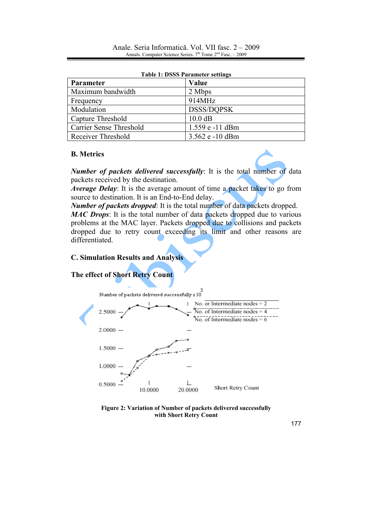| Table 1: DOOD I al allielel settings |                   |  |  |  |
|--------------------------------------|-------------------|--|--|--|
| Parameter                            | Value             |  |  |  |
| Maximum bandwidth                    | 2 Mbps            |  |  |  |
| Frequency                            | 914MHz            |  |  |  |
| Modulation                           | <b>DSSS/DOPSK</b> |  |  |  |
| Capture Threshold                    | $10.0$ dB         |  |  |  |
| <b>Carrier Sense Threshold</b>       | 1.559 e -11 dBm   |  |  |  |
| <b>Receiver Threshold</b>            | 3.562 e -10 dBm   |  |  |  |

#### Table 1: DSSS Parameter settings

## **B.** Metrics

*Number of packets delivered successfully*: It is the total number of data packets received by the destination.

*Average Delay*: It is the average amount of time a packet takes to go from source to destination. It is an End-to-End delay.

**Number of packets dropped:** It is the total number of data packets dropped. **MAC Drops:** It is the total number of data packets dropped due to various problems at the MAC layer. Packets dropped due to collisions and packets

dropped due to retry count exceeding its limit and other reasons are differentiated.

# **C. Simulation Results and Analysis**

# The effect of Short Retry Count



Figure 2: Variation of Number of packets delivered successfully with Short Retry Count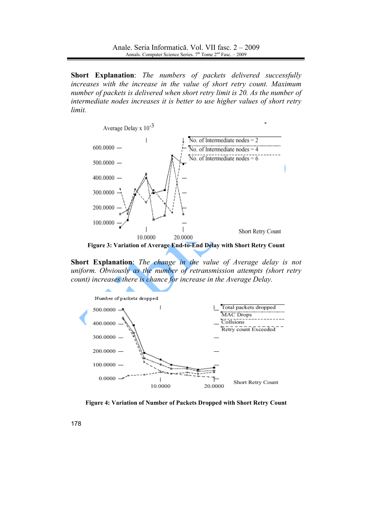Short Explanation: The numbers of packets delivered successfully increases with the increase in the value of short retry count. Maximum number of packets is delivered when short retry limit is 20. As the number of intermediate nodes increases it is better to use higher values of short retry limit.



Figure 3: Variation of Average End-to-End Delay with Short Retry Count

Short Explanation: The change in the value of Average delay is not uniform. Obviously as the number of retransmission attempts (short retry count) increases there is chance for increase in the Average Delay.



Figure 4: Variation of Number of Packets Dropped with Short Retry Count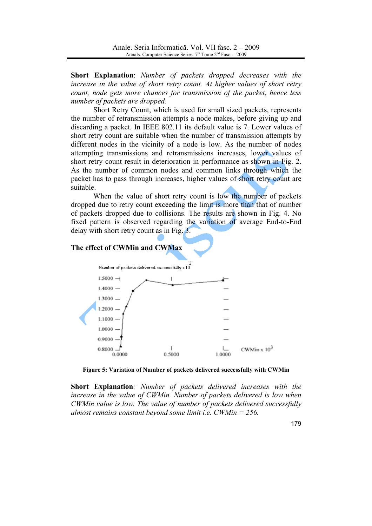Short Explanation: Number of packets dropped decreases with the increase in the value of short retry count. At higher values of short retry count, node gets more chances for transmission of the packet, hence less number of packets are dropped.

Short Retry Count, which is used for small sized packets, represents the number of retransmission attempts a node makes, before giving up and discarding a packet. In IEEE 802.11 its default value is 7. Lower values of short retry count are suitable when the number of transmission attempts by different nodes in the vicinity of a node is low. As the number of nodes attempting transmissions and retransmissions increases, lower values of short retry count result in deterioration in performance as shown in Fig. 2. As the number of common nodes and common links through which the packet has to pass through increases, higher values of short retry count are suitable.

When the value of short retry count is low the number of packets dropped due to retry count exceeding the limit is more than that of number of packets dropped due to collisions. The results are shown in Fig. 4. No fixed pattern is observed regarding the variation of average End-to-End delay with short retry count as in Fig.  $3$ .

#### The effect of CWMin and CWMax



Figure 5: Variation of Number of packets delivered successfully with CWMin

Short Explanation: Number of packets delivered increases with the increase in the value of CWMin. Number of packets delivered is low when CWMin value is low. The value of number of packets delivered successfully almost remains constant beyond some limit *i.e.* CWMin =  $256$ .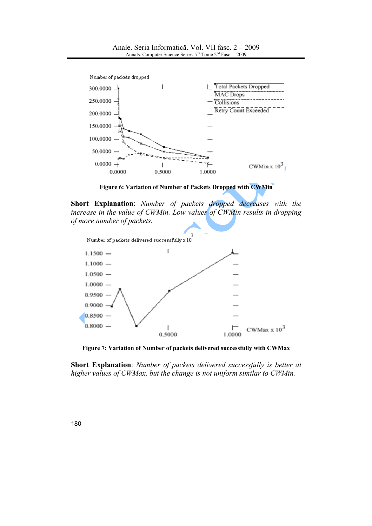

Anale. Seria Informatică. Vol. VII fasc. 2 - 2009 Annals, Computer Science Series,  $7<sup>th</sup>$  Tome  $2<sup>nd</sup>$  Fasc,  $-2009$ 

Figure 6: Variation of Number of Packets Dropped with CWMin

Short Explanation: Number of packets dropped decreases with the increase in the value of CWMin. Low values of CWMin results in dropping of more number of packets.



Figure 7: Variation of Number of packets delivered successfully with CWMax

Short Explanation: Number of packets delivered successfully is better at higher values of CWMax, but the change is not uniform similar to CWMin.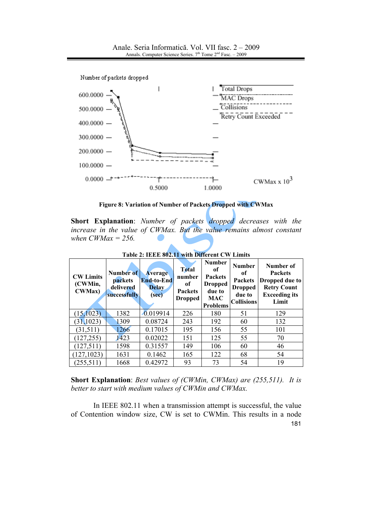

Figure 8: Variation of Number of Packets Dropped with CWMax

Short Explanation: Number of packets dropped decreases with the increase in the value of CWMax. But the value remains almost constant when  $CWMax = 256$ .

| <b>CW Limits</b><br>(CWMin,<br><b>CWMax</b> ) | Number of<br>packets<br>delivered<br>successfully | <b>Average</b><br><b>End-to-End</b><br><b>Delay</b><br>(sec) | <b>Total</b><br>number<br>of<br><b>Packets</b><br><b>Dropped</b> | <b>Number</b><br>оf<br><b>Packets</b><br><b>Dropped</b><br>due to<br><b>MAC</b><br><b>Problems</b> | <b>Number</b><br>of<br><b>Packets</b><br><b>Dropped</b><br>due to<br><b>Collisions</b> | Number of<br><b>Packets</b><br>Dropped due to<br><b>Retry Count</b><br><b>Exceeding its</b><br>Limit |
|-----------------------------------------------|---------------------------------------------------|--------------------------------------------------------------|------------------------------------------------------------------|----------------------------------------------------------------------------------------------------|----------------------------------------------------------------------------------------|------------------------------------------------------------------------------------------------------|
| (15, 1023)                                    | 1382                                              | 0.019914                                                     | 226                                                              | 180                                                                                                | 51                                                                                     | 129                                                                                                  |
| (31, 1023)                                    | 1309                                              | 0.08724                                                      | 243                                                              | 192                                                                                                | 60                                                                                     | 132                                                                                                  |
| (31,511)                                      | 1266                                              | 0.17015                                                      | 195                                                              | 156                                                                                                | 55                                                                                     | 101                                                                                                  |
| (127, 255)                                    | 1423                                              | 0.02022                                                      | 151                                                              | 125                                                                                                | 55                                                                                     | 70                                                                                                   |
| (127, 511)                                    | 1598                                              | 0.31557                                                      | 149                                                              | 106                                                                                                | 60                                                                                     | 46                                                                                                   |
| (127, 1023)                                   | 1631                                              | 0.1462                                                       | 165                                                              | 122                                                                                                | 68                                                                                     | 54                                                                                                   |
| (255, 511)                                    | 1668                                              | 0.42972                                                      | 93                                                               | 73                                                                                                 | 54                                                                                     | 19                                                                                                   |

Table 2: IEEE 802.11 with Different CW Limits

**Short Explanation:** Best values of (CWMin, CWMax) are (255,511). It is better to start with medium values of CWMin and CWMax.

In IEEE 802.11 when a transmission attempt is successful, the value of Contention window size, CW is set to CWMin. This results in a node 181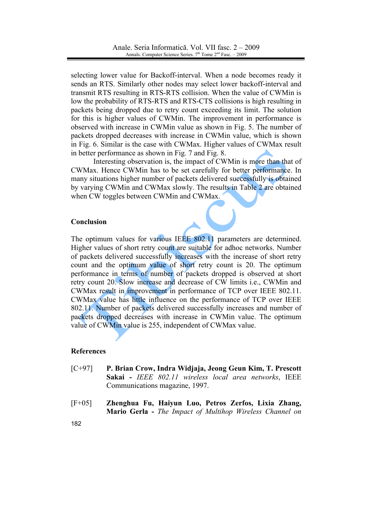selecting lower value for Backoff-interval. When a node becomes ready it sends an RTS. Similarly other nodes may select lower backoff-interval and transmit RTS resulting in RTS-RTS collision. When the value of CWMin is low the probability of RTS-RTS and RTS-CTS collisions is high resulting in packets being dropped due to retry count exceeding its limit. The solution for this is higher values of CWMin. The improvement in performance is observed with increase in CWM in value as shown in Fig. 5. The number of packets dropped decreases with increase in CWMin value, which is shown in Fig. 6. Similar is the case with CWMax. Higher values of CWMax result in better performance as shown in Fig. 7 and Fig. 8.

Interesting observation is, the impact of CWMin is more than that of CWMax. Hence CWMin has to be set carefully for better performance. In many situations higher number of packets delivered successfully is obtained by varying CWMin and CWMax slowly. The results in Table 2 are obtained when CW toggles between CWMin and CWMax.

## Conclusion

The optimum values for various IEEE 802.11 parameters are determined. Higher values of short retry count are suitable for adhoc networks. Number of packets delivered successfully increases with the increase of short retry count and the optimum value of short retry count is 20. The optimum performance in terms of number of packets dropped is observed at short retry count 20. Slow increase and decrease of CW limits *i.e.*, CWMin and CWMax result in improvement in performance of TCP over IEEE 802.11. CWMax value has little influence on the performance of TCP over IEEE 802.11. Number of packets delivered successfully increases and number of packets dropped decreases with increase in CWMin value. The optimum value of CWMin value is 255, independent of CWMax value.

## **References**

- $[C+97]$ P. Brian Crow, Indra Widjaja, Jeong Geun Kim, T. Prescott Sakai - IEEE 802.11 wireless local area networks, IEEE Communications magazine, 1997.
- $[F+05]$ Zhenghua Fu, Haiyun Luo, Petros Zerfos, Lixia Zhang, Mario Gerla - The Impact of Multihop Wireless Channel on